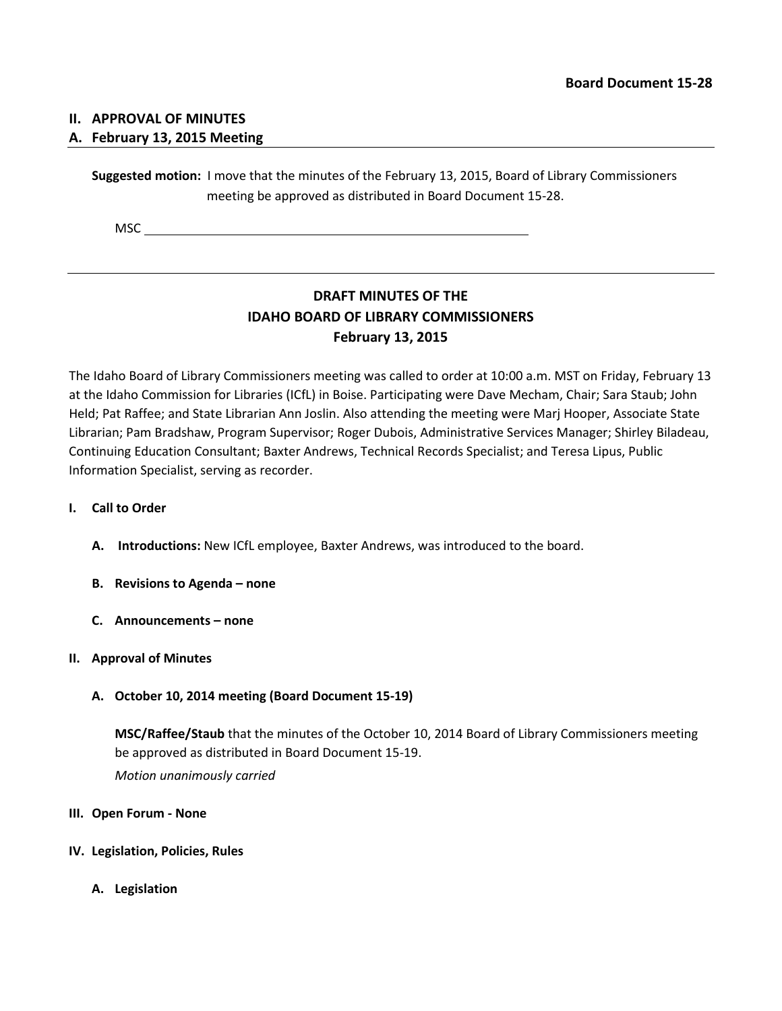### **II. APPROVAL OF MINUTES**

### **A. February 13, 2015 Meeting**

**Suggested motion:** I move that the minutes of the February 13, 2015, Board of Library Commissioners meeting be approved as distributed in Board Document 15-28.

MSC

# **DRAFT MINUTES OF THE IDAHO BOARD OF LIBRARY COMMISSIONERS February 13, 2015**

The Idaho Board of Library Commissioners meeting was called to order at 10:00 a.m. MST on Friday, February 13 at the Idaho Commission for Libraries (ICfL) in Boise. Participating were Dave Mecham, Chair; Sara Staub; John Held; Pat Raffee; and State Librarian Ann Joslin. Also attending the meeting were Marj Hooper, Associate State Librarian; Pam Bradshaw, Program Supervisor; Roger Dubois, Administrative Services Manager; Shirley Biladeau, Continuing Education Consultant; Baxter Andrews, Technical Records Specialist; and Teresa Lipus, Public Information Specialist, serving as recorder.

#### **I. Call to Order**

- **A. Introductions:** New ICfL employee, Baxter Andrews, was introduced to the board.
- **B. Revisions to Agenda – none**
- **C. Announcements – none**

#### **II. Approval of Minutes**

**A. October 10, 2014 meeting (Board Document 15-19)**

**MSC/Raffee/Staub** that the minutes of the October 10, 2014 Board of Library Commissioners meeting be approved as distributed in Board Document 15-19. *Motion unanimously carried*

#### **III. Open Forum - None**

#### **IV. Legislation, Policies, Rules**

**A. Legislation**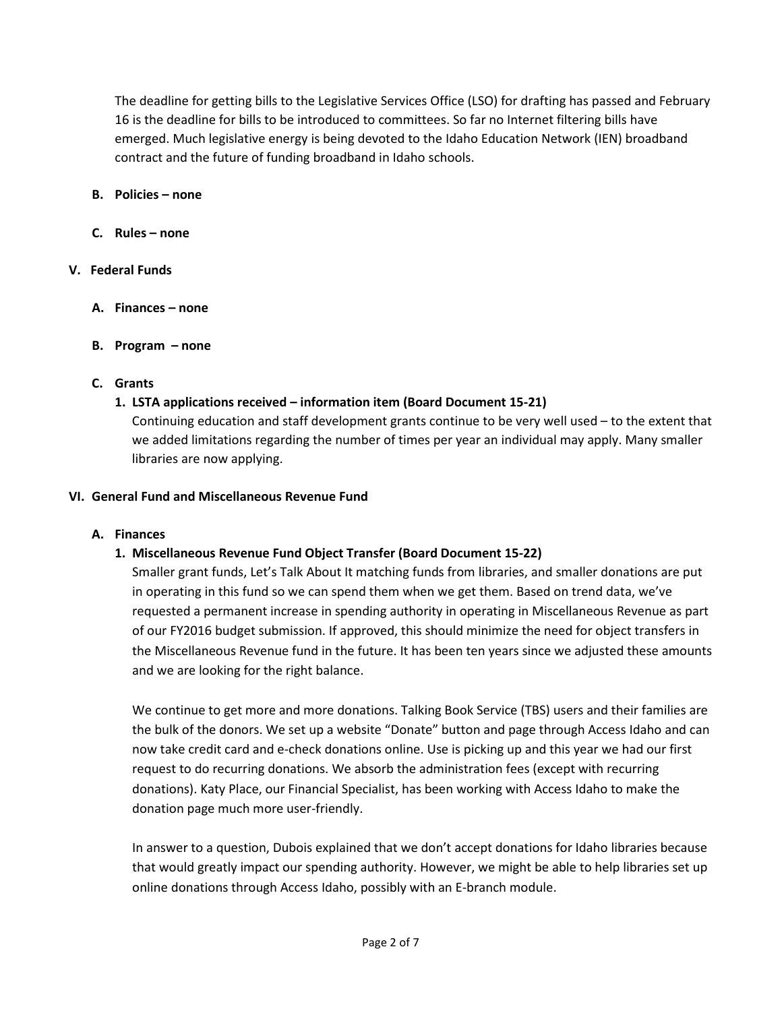The deadline for getting bills to the Legislative Services Office (LSO) for drafting has passed and February 16 is the deadline for bills to be introduced to committees. So far no Internet filtering bills have emerged. Much legislative energy is being devoted to the Idaho Education Network (IEN) broadband contract and the future of funding broadband in Idaho schools.

- **B. Policies – none**
- **C. Rules – none**

### **V. Federal Funds**

- **A. Finances – none**
- **B. Program – none**

### **C. Grants**

### **1. LSTA applications received – information item (Board Document 15-21)**

Continuing education and staff development grants continue to be very well used – to the extent that we added limitations regarding the number of times per year an individual may apply. Many smaller libraries are now applying.

#### **VI. General Fund and Miscellaneous Revenue Fund**

#### **A. Finances**

### **1. Miscellaneous Revenue Fund Object Transfer (Board Document 15-22)**

Smaller grant funds, Let's Talk About It matching funds from libraries, and smaller donations are put in operating in this fund so we can spend them when we get them. Based on trend data, we've requested a permanent increase in spending authority in operating in Miscellaneous Revenue as part of our FY2016 budget submission. If approved, this should minimize the need for object transfers in the Miscellaneous Revenue fund in the future. It has been ten years since we adjusted these amounts and we are looking for the right balance.

We continue to get more and more donations. Talking Book Service (TBS) users and their families are the bulk of the donors. We set up a website "Donate" button and page through Access Idaho and can now take credit card and e-check donations online. Use is picking up and this year we had our first request to do recurring donations. We absorb the administration fees (except with recurring donations). Katy Place, our Financial Specialist, has been working with Access Idaho to make the donation page much more user-friendly.

In answer to a question, Dubois explained that we don't accept donations for Idaho libraries because that would greatly impact our spending authority. However, we might be able to help libraries set up online donations through Access Idaho, possibly with an E-branch module.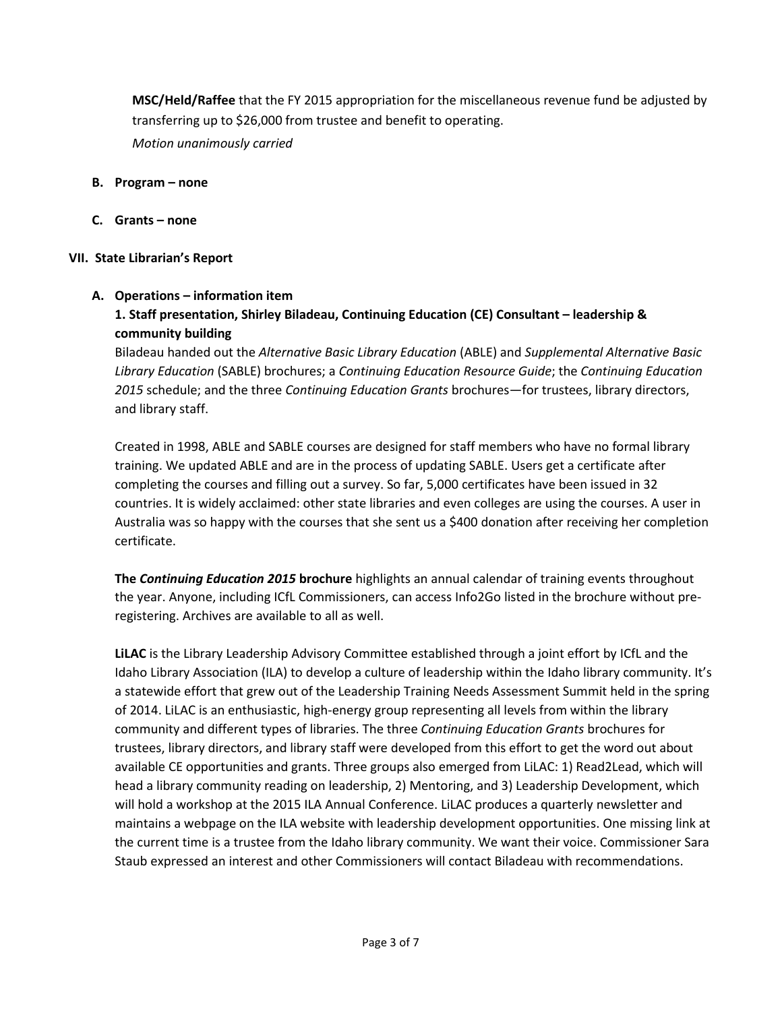**MSC/Held/Raffee** that the FY 2015 appropriation for the miscellaneous revenue fund be adjusted by transferring up to \$26,000 from trustee and benefit to operating.

*Motion unanimously carried*

- **B. Program – none**
- **C. Grants – none**

### **VII. State Librarian's Report**

### **A. Operations – information item**

## **1. Staff presentation, Shirley Biladeau, Continuing Education (CE) Consultant – leadership & community building**

Biladeau handed out the *Alternative Basic Library Education* (ABLE) and *Supplemental Alternative Basic Library Education* (SABLE) brochures; a *Continuing Education Resource Guide*; the *Continuing Education 2015* schedule; and the three *Continuing Education Grants* brochures—for trustees, library directors, and library staff.

Created in 1998, ABLE and SABLE courses are designed for staff members who have no formal library training. We updated ABLE and are in the process of updating SABLE. Users get a certificate after completing the courses and filling out a survey. So far, 5,000 certificates have been issued in 32 countries. It is widely acclaimed: other state libraries and even colleges are using the courses. A user in Australia was so happy with the courses that she sent us a \$400 donation after receiving her completion certificate.

**The** *Continuing Education 2015* **brochure** highlights an annual calendar of training events throughout the year. Anyone, including ICfL Commissioners, can access Info2Go listed in the brochure without preregistering. Archives are available to all as well.

**LiLAC** is the Library Leadership Advisory Committee established through a joint effort by ICfL and the Idaho Library Association (ILA) to develop a culture of leadership within the Idaho library community. It's a statewide effort that grew out of the Leadership Training Needs Assessment Summit held in the spring of 2014. LiLAC is an enthusiastic, high-energy group representing all levels from within the library community and different types of libraries. The three *Continuing Education Grants* brochures for trustees, library directors, and library staff were developed from this effort to get the word out about available CE opportunities and grants. Three groups also emerged from LiLAC: 1) Read2Lead, which will head a library community reading on leadership, 2) Mentoring, and 3) Leadership Development, which will hold a workshop at the 2015 ILA Annual Conference. LiLAC produces a quarterly newsletter and maintains a webpage on the ILA website with leadership development opportunities. One missing link at the current time is a trustee from the Idaho library community. We want their voice. Commissioner Sara Staub expressed an interest and other Commissioners will contact Biladeau with recommendations.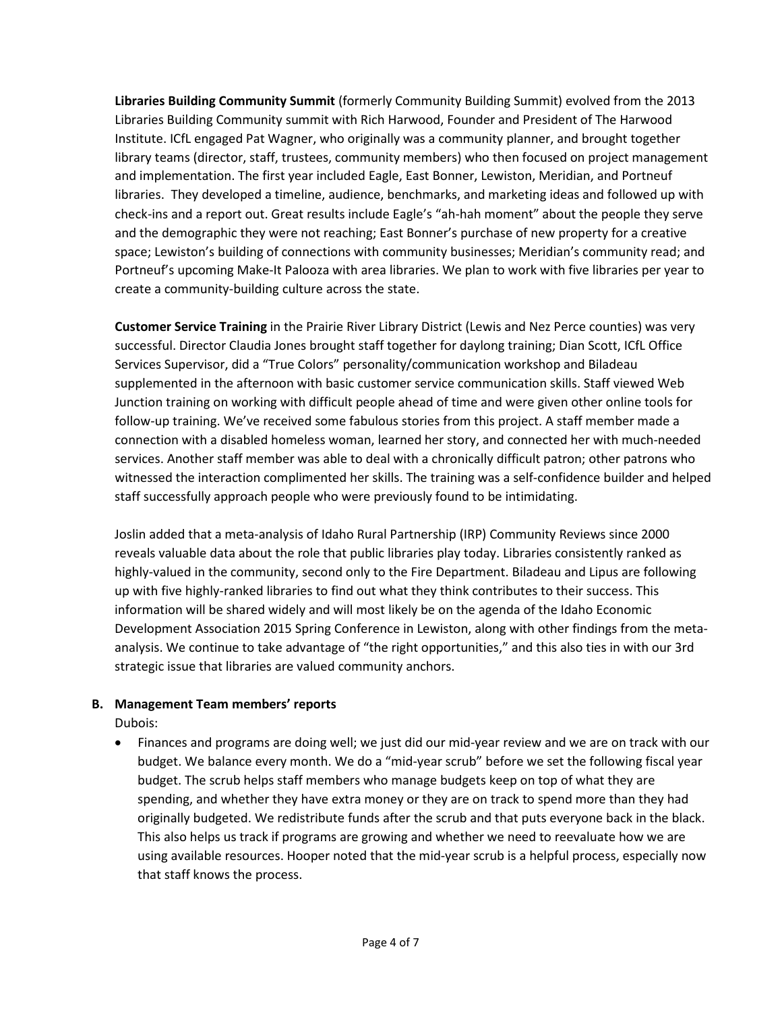**Libraries Building Community Summit** (formerly Community Building Summit) evolved from the 2013 Libraries Building Community summit with Rich Harwood, Founder and President of The Harwood Institute. ICfL engaged Pat Wagner, who originally was a community planner, and brought together library teams (director, staff, trustees, community members) who then focused on project management and implementation. The first year included Eagle, East Bonner, Lewiston, Meridian, and Portneuf libraries. They developed a timeline, audience, benchmarks, and marketing ideas and followed up with check-ins and a report out. Great results include Eagle's "ah-hah moment" about the people they serve and the demographic they were not reaching; East Bonner's purchase of new property for a creative space; Lewiston's building of connections with community businesses; Meridian's community read; and Portneuf's upcoming Make-It Palooza with area libraries. We plan to work with five libraries per year to create a community-building culture across the state.

**Customer Service Training** in the Prairie River Library District (Lewis and Nez Perce counties) was very successful. Director Claudia Jones brought staff together for daylong training; Dian Scott, ICfL Office Services Supervisor, did a "True Colors" personality/communication workshop and Biladeau supplemented in the afternoon with basic customer service communication skills. Staff viewed Web Junction training on working with difficult people ahead of time and were given other online tools for follow-up training. We've received some fabulous stories from this project. A staff member made a connection with a disabled homeless woman, learned her story, and connected her with much-needed services. Another staff member was able to deal with a chronically difficult patron; other patrons who witnessed the interaction complimented her skills. The training was a self-confidence builder and helped staff successfully approach people who were previously found to be intimidating.

Joslin added that a meta-analysis of Idaho Rural Partnership (IRP) Community Reviews since 2000 reveals valuable data about the role that public libraries play today. Libraries consistently ranked as highly-valued in the community, second only to the Fire Department. Biladeau and Lipus are following up with five highly-ranked libraries to find out what they think contributes to their success. This information will be shared widely and will most likely be on the agenda of the Idaho Economic Development Association 2015 Spring Conference in Lewiston, along with other findings from the metaanalysis. We continue to take advantage of "the right opportunities," and this also ties in with our 3rd strategic issue that libraries are valued community anchors.

### **B. Management Team members' reports**

Dubois:

• Finances and programs are doing well; we just did our mid-year review and we are on track with our budget. We balance every month. We do a "mid-year scrub" before we set the following fiscal year budget. The scrub helps staff members who manage budgets keep on top of what they are spending, and whether they have extra money or they are on track to spend more than they had originally budgeted. We redistribute funds after the scrub and that puts everyone back in the black. This also helps us track if programs are growing and whether we need to reevaluate how we are using available resources. Hooper noted that the mid-year scrub is a helpful process, especially now that staff knows the process.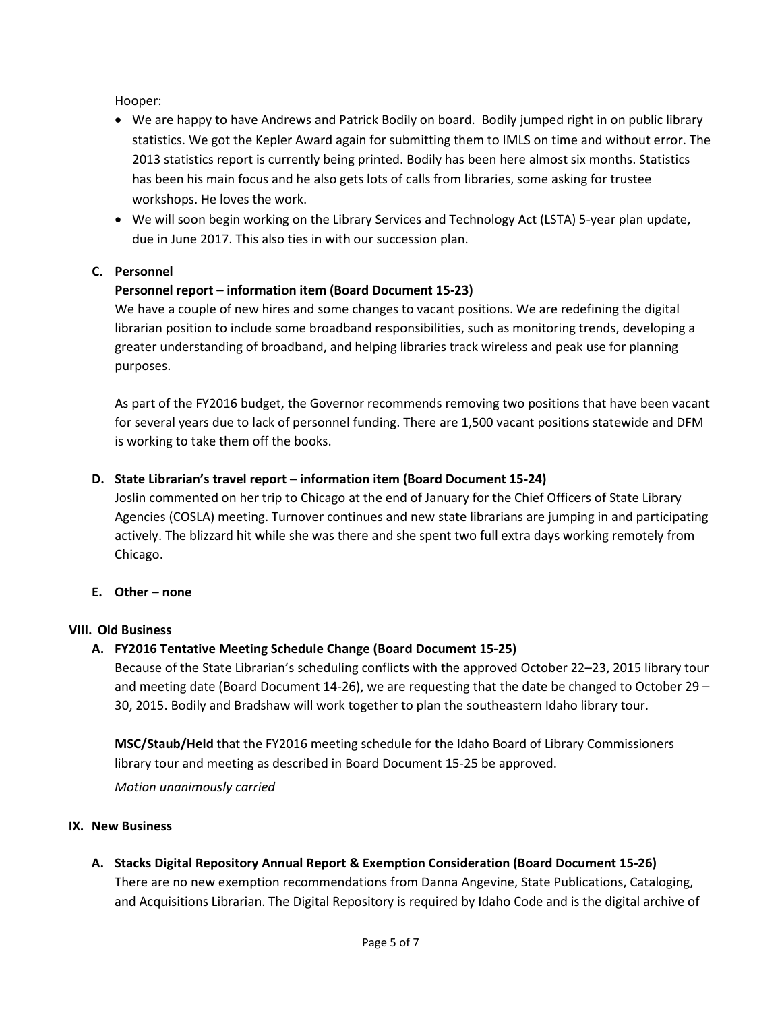Hooper:

- We are happy to have Andrews and Patrick Bodily on board. Bodily jumped right in on public library statistics. We got the Kepler Award again for submitting them to IMLS on time and without error. The 2013 statistics report is currently being printed. Bodily has been here almost six months. Statistics has been his main focus and he also gets lots of calls from libraries, some asking for trustee workshops. He loves the work.
- We will soon begin working on the Library Services and Technology Act (LSTA) 5-year plan update, due in June 2017. This also ties in with our succession plan.

## **C. Personnel**

## **Personnel report – information item (Board Document 15-23)**

We have a couple of new hires and some changes to vacant positions. We are redefining the digital librarian position to include some broadband responsibilities, such as monitoring trends, developing a greater understanding of broadband, and helping libraries track wireless and peak use for planning purposes.

As part of the FY2016 budget, the Governor recommends removing two positions that have been vacant for several years due to lack of personnel funding. There are 1,500 vacant positions statewide and DFM is working to take them off the books.

### **D. State Librarian's travel report – information item (Board Document 15-24)**

Joslin commented on her trip to Chicago at the end of January for the Chief Officers of State Library Agencies (COSLA) meeting. Turnover continues and new state librarians are jumping in and participating actively. The blizzard hit while she was there and she spent two full extra days working remotely from Chicago.

### **E. Other – none**

### **VIII. Old Business**

## **A. FY2016 Tentative Meeting Schedule Change (Board Document 15-25)**

Because of the State Librarian's scheduling conflicts with the approved October 22–23, 2015 library tour and meeting date (Board Document 14-26), we are requesting that the date be changed to October 29 – 30, 2015. Bodily and Bradshaw will work together to plan the southeastern Idaho library tour.

**MSC/Staub/Held** that the FY2016 meeting schedule for the Idaho Board of Library Commissioners library tour and meeting as described in Board Document 15-25 be approved.

*Motion unanimously carried*

### **IX. New Business**

**A. Stacks Digital Repository Annual Report & Exemption Consideration (Board Document 15-26)** There are no new exemption recommendations from Danna Angevine, State Publications, Cataloging, and Acquisitions Librarian. The Digital Repository is required by Idaho Code and is the digital archive of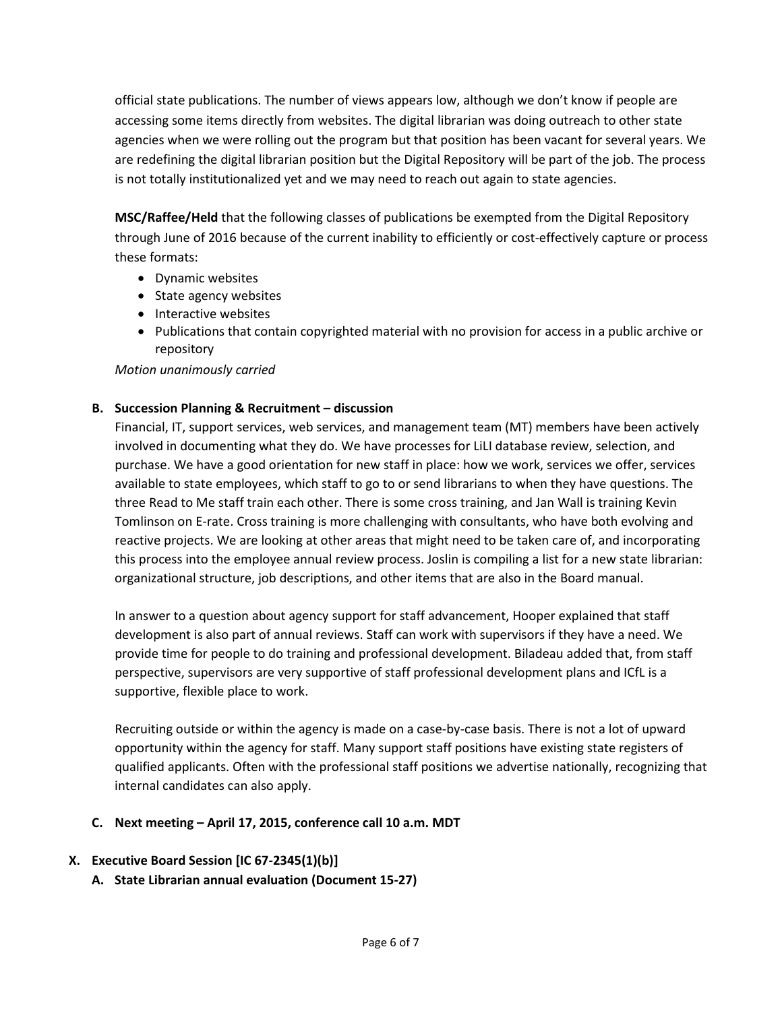official state publications. The number of views appears low, although we don't know if people are accessing some items directly from websites. The digital librarian was doing outreach to other state agencies when we were rolling out the program but that position has been vacant for several years. We are redefining the digital librarian position but the Digital Repository will be part of the job. The process is not totally institutionalized yet and we may need to reach out again to state agencies.

**MSC/Raffee/Held** that the following classes of publications be exempted from the Digital Repository through June of 2016 because of the current inability to efficiently or cost-effectively capture or process these formats:

- Dynamic websites
- State agency websites
- Interactive websites
- Publications that contain copyrighted material with no provision for access in a public archive or repository

### *Motion unanimously carried*

## **B. Succession Planning & Recruitment – discussion**

Financial, IT, support services, web services, and management team (MT) members have been actively involved in documenting what they do. We have processes for LiLI database review, selection, and purchase. We have a good orientation for new staff in place: how we work, services we offer, services available to state employees, which staff to go to or send librarians to when they have questions. The three Read to Me staff train each other. There is some cross training, and Jan Wall is training Kevin Tomlinson on E-rate. Cross training is more challenging with consultants, who have both evolving and reactive projects. We are looking at other areas that might need to be taken care of, and incorporating this process into the employee annual review process. Joslin is compiling a list for a new state librarian: organizational structure, job descriptions, and other items that are also in the Board manual.

In answer to a question about agency support for staff advancement, Hooper explained that staff development is also part of annual reviews. Staff can work with supervisors if they have a need. We provide time for people to do training and professional development. Biladeau added that, from staff perspective, supervisors are very supportive of staff professional development plans and ICfL is a supportive, flexible place to work.

Recruiting outside or within the agency is made on a case-by-case basis. There is not a lot of upward opportunity within the agency for staff. Many support staff positions have existing state registers of qualified applicants. Often with the professional staff positions we advertise nationally, recognizing that internal candidates can also apply.

### **C. Next meeting – April 17, 2015, conference call 10 a.m. MDT**

## **X. Executive Board Session [IC 67-2345(1)(b)]**

**A. State Librarian annual evaluation (Document 15-27)**